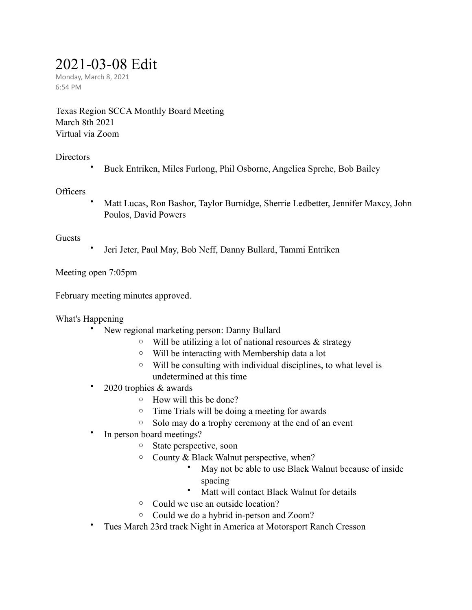# 2021-03-08 Edit

Monday, March 8, 2021 6:54 PM

Texas Region SCCA Monthly Board Meeting March 8th 2021 Virtual via Zoom

# **Directors**

• Buck Entriken, Miles Furlong, Phil Osborne, Angelica Sprehe, Bob Bailey

# **Officers**

• Matt Lucas, Ron Bashor, Taylor Burnidge, Sherrie Ledbetter, Jennifer Maxcy, John Poulos, David Powers

#### Guests

• Jeri Jeter, Paul May, Bob Neff, Danny Bullard, Tammi Entriken

Meeting open 7:05pm

February meeting minutes approved.

What's Happening

- New regional marketing person: Danny Bullard
	- $\circ$  Will be utilizing a lot of national resources & strategy
	- o Will be interacting with Membership data a lot
	- o Will be consulting with individual disciplines, to what level is undetermined at this time
- 2020 trophies & awards
	- o How will this be done?
	- o Time Trials will be doing a meeting for awards
	- o Solo may do a trophy ceremony at the end of an event
- In person board meetings?
	- o State perspective, soon
	- o County & Black Walnut perspective, when?
		- May not be able to use Black Walnut because of inside spacing
		- Matt will contact Black Walnut for details
	- o Could we use an outside location?
	- o Could we do a hybrid in-person and Zoom?
- Tues March 23rd track Night in America at Motorsport Ranch Cresson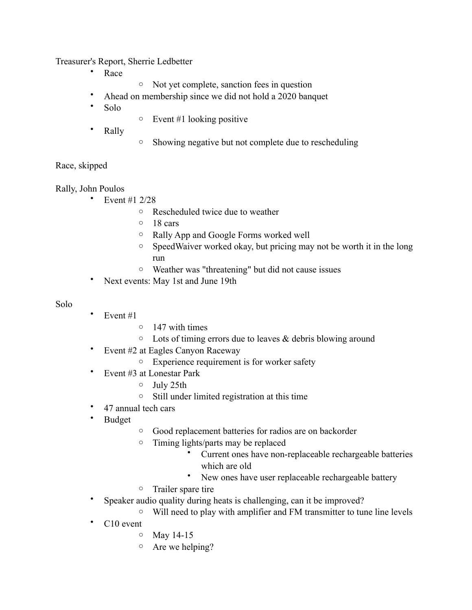Treasurer's Report, Sherrie Ledbetter

- Race
- o Not yet complete, sanction fees in question
- Ahead on membership since we did not hold a 2020 banquet
- Solo
- $\circ$  Event #1 looking positive
- Rally
- o Showing negative but not complete due to rescheduling

# Race, skipped

Rally, John Poulos

- Event #1 2/28
	- o Rescheduled twice due to weather
	- o 18 cars
	- o Rally App and Google Forms worked well
	- o SpeedWaiver worked okay, but pricing may not be worth it in the long run
	- o Weather was "threatening" but did not cause issues
- Next events: May 1st and June 19th

#### Solo

- Event  $#1$ 
	- o 147 with times
	- $\circ$  Lots of timing errors due to leaves & debris blowing around
- Event #2 at Eagles Canyon Raceway
	- o Experience requirement is for worker safety
- Event #3 at Lonestar Park
	- o July 25th
	- o Still under limited registration at this time
- 47 annual tech cars
- Budget
- o Good replacement batteries for radios are on backorder
- o Timing lights/parts may be replaced
	- Current ones have non-replaceable rechargeable batteries which are old
	- New ones have user replaceable rechargeable battery
- o Trailer spare tire
- Speaker audio quality during heats is challenging, can it be improved?
	- o Will need to play with amplifier and FM transmitter to tune line levels
- C10 event
	- o May 14-15
	- o Are we helping?